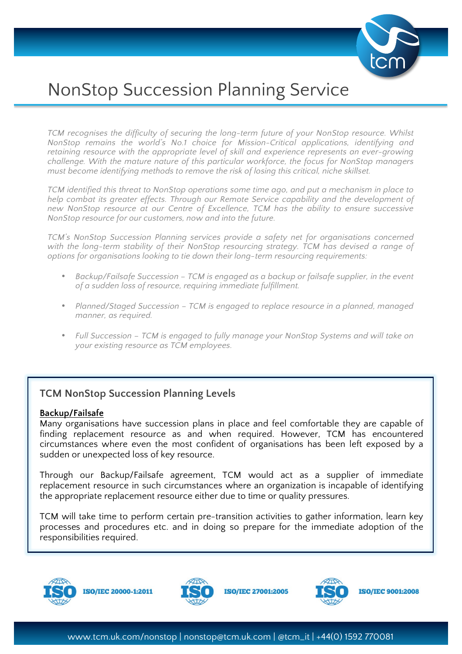

# NonStop Succession Planning Service

*TCM recognises the difficulty of securing the long-term future of your NonStop resource. Whilst NonStop remains the world's No.1 choice for Mission-Critical applications, identifying and retaining resource with the appropriate level of skill and experience represents an ever-growing challenge. With the mature nature of this particular workforce, the focus for NonStop managers must become identifying methods to remove the risk of losing this critical, niche skillset.*

*TCM identified this threat to NonStop operations some time ago, and put a mechanism in place to*  help combat its greater effects. Through our Remote Service capability and the development of *new NonStop resource at our Centre of Excellence, TCM has the ability to ensure successive NonStop resource for our customers, now and into the future.* 

*TCM's NonStop Succession Planning services provide a safety net for organisations concerned*  with the long-term stability of their NonStop resourcing strategy. TCM has devised a range of *options for organisations looking to tie down their long-term resourcing requirements:*

- *Backup/Failsafe Succession – TCM is engaged as a backup or failsafe supplier, in the event of a sudden loss of resource, requiring immediate fulfillment.*
- *Planned/Staged Succession – TCM is engaged to replace resource in a planned, managed manner, as required.*
- *Full Succession – TCM is engaged to fully manage your NonStop Systems and will take on your existing resource as TCM employees.*

## **TCM NonStop Succession Planning Levels**

#### **Backup/Failsafe**

Many organisations have succession plans in place and feel comfortable they are capable of finding replacement resource as and when required. However, TCM has encountered circumstances where even the most confident of organisations has been left exposed by a sudden or unexpected loss of key resource.

Through our Backup/Failsafe agreement, TCM would act as a supplier of immediate replacement resource in such circumstances where an organization is incapable of identifying the appropriate replacement resource either due to time or quality pressures.

TCM will take time to perform certain pre-transition activities to gather information, learn key processes and procedures etc. and in doing so prepare for the immediate adoption of the responsibilities required.



**ISO/IEC 20000-1:2011** 



**ISO/IEC 27001:2005** 



**ISO/IEC 9001:2008**